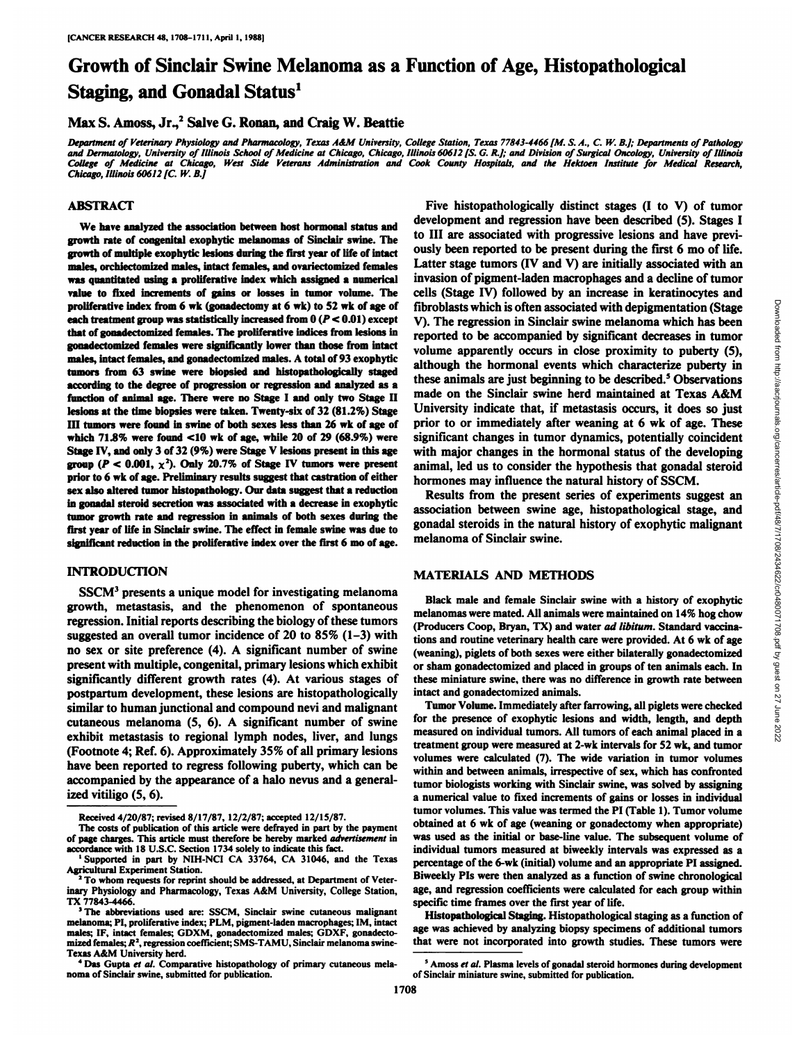# Growth of Sinclair Swine Melanoma as a Function of Age, Histopathological Staging, and Gonadal Status<sup>1</sup>

## Max S. Amoss, Jr.,<sup>2</sup> Salve G. Ronan, and Craig W. Beattie

Department of Veterinary Physiology and Pharmacology, Texas A&M University, College Station, Texas 77843-4466 [M. S. A., C. W. B.]; Departments of Pathology and Dermatology, University of Illinois School of Medicine at Chicago, Chicago, Illinois 60612 [S. G. R.]; and Division of Surgical Oncology, University of Illinois College of Medicine at Chicago, West Side Veterans Administration and Cook County Hospitals, and the Hektoen Institute for Medical Research, *Chicago, Illinois 60612 [C. W. BJ*

### **ABSTRACT**

**We have analyzed the association between host hormonal status and growth rate of congenital exophytic melanomas of Sinclair swine. The growth of multiple exophytic lesions during the first year of life of intact males, orchiectomized males, intact females, and ovariectomized females** was quantitated using a proliferative index which assigned a numerical **value to fixed increments of gains or losses in tumor volume. The proliferative index from 6** wk (gonadectomy at 6 wk) to 52 wk of age of **each treatment group** was statistically increased from  $0 (P < 0.01)$  except **that of gonadectomized females. The proliferai ivi- indices from lesionsin gonadectomized females were significantly lower than those from intact males, intact females, and gonadectomized males. A total of 93 exophytic tumors from 63 swine were biopsied and histopathologically staged according to the degree of progression or regression and analyzed as a function ofanimal age. There were no Stage I and only two Stage II lesions at the time biopsies were taken. Twenty-six of 32 (81.2%) Stage III tumors were found in swine of both sexes less than 26 wk of age of which 71.8% were found <10 wk of age, while 20 of 29 (68.9%) were Stage IV, and only 3 of32 (9%) were Stage V lesions present in this age group** ( $P < 0.001$ ,  $\chi^2$ ). Only 20.7% of Stage IV tumors were present **prior to 6 wk of age. Preliminary results suggest that castration of either sex also altered tumor histopathology. Our data suggest that a reduction in gonadal steroid secretion was associated with a decrease in exophytic tumor growth rate and regression in animals of both sexes during the first year of life in Sinclair swine. The effect in female swine was due to significant reduction** in the proliferative index over the first 6 mo of age.

#### **INTRODUCTION**

SSCM3 presents a unique model for investigating melanoma growth, metastasis, and the phenomenon of spontaneous regression. Initial reports describing the biology of these tumors suggested an overall tumor incidence of 20 to 85% (1-3) with no sex or site preference (4). A significant number of swine present with multiple, congenital, primary lesions which exhibit significantly different growth rates (4). At various stages of postpartum development, these lesions are histopathologically similar to human junctional and compound nevi and malignant cutaneous melanoma (S, 6). A significant number of swine exhibit metastasis to regional lymph nodes, liver, and lungs (Footnote 4; Ref. 6). Approximately 35% of all primary lesions have been reported to regress following puberty, which can be accompanied by the appearance of a halo nevus and a general ized vitiligo  $(5, 6)$ .

Five histopathologically distinct stages (I to V) of tumor development and regression have been described (5). Stages I to III are associated with progressive lesions and have previ ously been reported to be present during the first 6 mo of life. Latter stage tumors (IV and V) are initially associated with an invasion of pigment-laden macrophages and a decline of tumor cells (Stage IV) followed by an increase in keratinocytes and<br>fibroblasts which is often associated with depigmentation (Stage<br>V). The regression in Sinclair swine melanoma which has been<br>reported to be accompanied by sig fibroblasts which is often associated with depigmentation (Stage V). The regression in Sinclair swine melanoma which has been reported to be accompanied by significant decreases in tumor volume apparently occurs in close proximity to puberty (5), although the hormonal events which characterize puberty in these animals are just beginning to be described.<sup>5</sup> Observations made on the Sinclair swine herd maintained at Texas A&M University indicate that, if metastasis occurs, it does so just prior to orimmediately after weaning at 6 wk of age. These significant changes in tumor dynamics, potentially coincident with major changes in the hormonal status of the developing animal, led us to consider the hypothesis that gonadal steroid hormones may influence the natural history of SSCM.

Results from the present series of experiments suggest an association between swine age, histopathological stage, and gonadal steroids in the natural history of exophytic malignant melanoma of Sinclair swine.

#### **MATERIALS AND METHODS**

Black male and female Sinclair swine with a history of exophytic melanomas were mated. All animals were maintained on 14% hog chow (Producers Coop, Bryan, TX) and water ad libitum. Standard vaccina tions and routine veterinary health care were provided. At 6 wk of age (weaning), piglets of both sexes were either bilaterally gonadectomized or sham gonadectomized and placed in groups of ten animals each. In these miniature swine, there was no difference in growth rate between intact and gonadectomized animals.

Tumor Volume. Immediately after farrowing, all piglets were checked for the presence of exophytic lesions and width, length, and depth measured on individual tumors. All tumors of each animal placed in a treatment group were measured at 2-wk intervals for 52 wk, and tumor volumes were calculated (7). The wide variation in tumor volumes within and between animals, irrespective of sex, which has confronted tumor biologists working with Sinclair swine, was solved by assigning a numerical value to fixed increments of gains or losses in individual tumor volumes. This value was termed the PI (Table 1). Tumor volume obtained at 6 wk of age (weaning or gonadectomy when appropriate) was used as the initial or base-line value. The subsequent volume of individual tumors measured at biweekly intervals was expressed as a percentage of the 6-wk (initial) volume and an appropriate PI assigned. Biweekly Pis were then analyzed as a function of swine chronological age, and regression coefficients were calculated for each group within specific time frames over the first year of life.

Histopathological Staging. Histopathological staging as a function of age was achieved by analyzing biopsy specimens of additional tumors that were not incorporated into growth studies. These tumors were

Received 4/20/87; revised 8/17/87, 12/2/87; accepted 12/15/87.

The costs of publication of this article were defrayed in part by the payment of page charges. This article must therefore be hereby marked advertisement in accordance with 18 U.S.C. Section 1734 solely to indicate this fact.

<sup>&#</sup>x27;Supported in part by NIH-NCI CA 33764, CA 31046, and the Texas Agricultural Experiment Station.<br><sup>2</sup>To whom requests for reprint should be addressed, at Department of Veter-

inary Physiology and Pharmacology, Texas A&M University, College Station, TX 77843-4466.

The abbreviations used are: SSCM, Sinclair swine cutaneous malignant melanoma; PI, proliferative index; PLM, pigment-laden macrophages; IM, intact males; IF, intact females; GDXM, gonadectomized males; GDXF, gonadectomized females;  $R^2$ , regression coefficient; SMS-TAMU, Sinclair melanoma swine-Texas A&M University herd. *' Das Gupta et al. Comparative histopathology of primar) cutaneous mela*

noma of Sinclair swine, submitted for publication.

 $^5$  Amoss *et al.* Plasma levels of gonadal steroid hormones during development of Sinclair miniature swine, submitted for publication.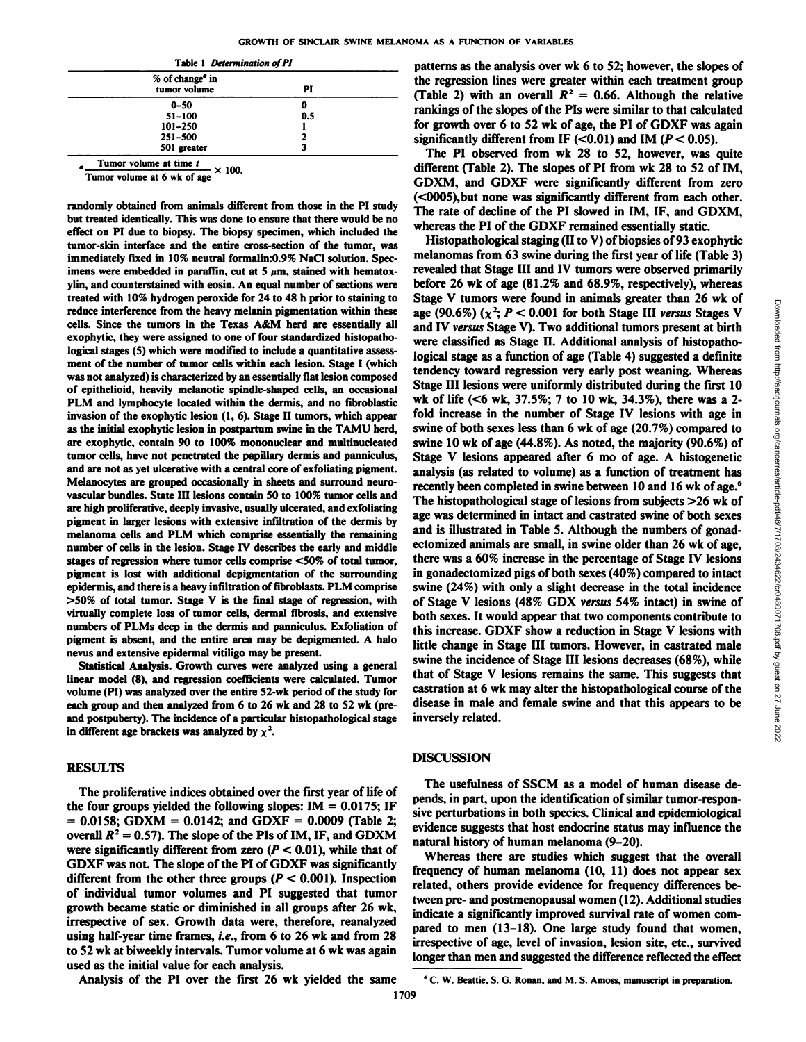| Table 1 Determination of PI |  |
|-----------------------------|--|
|-----------------------------|--|

| % of change <sup>®</sup> in<br>tumor volume | PI  |  |
|---------------------------------------------|-----|--|
| $0 - 50$                                    | o   |  |
| $51 - 100$                                  | 0.5 |  |
| $101 - 250$                                 |     |  |
| $251 - 500$                                 |     |  |
| 501 greater                                 |     |  |

Tumor volume at time  $t \times 100$ .

Tumor volume at 6 wk of age

randomly obtained from animals different from those in the PI study but treated identically. This was done to ensure that there would be no effect on PI due to biopsy. The biopsy specimen, which included the tumor-skin interface and the entire cross-section of the tumor, was immediately fixed in 10% neutral formalin:0.9% NaCl solution. Spec imens were embedded in paraffin, cut at 5  $\mu$ m, stained with hematoxylin, and counterstained with eosin. An equal number of sections were treated with 10% hydrogen peroxide for 24 to 48 h prior to staining to reduce interference from the heavy melanin pigmentation within these cells. Since the tumors in the Texas A&M herd are essentially all exophytic, they were assigned to one of four standardized histopathological stages (5) which were modified to include a quantitative assess ment of the number of tumor cells within each lesion. Stage I(which was not analyzed) is characterized by an essentially flat lesion composed of epithelioid, heavily melanotic spindle-shaped cells, an occasional PLM and lymphocyte located within the dermis, and no fibroblastic invasion of the exophytic lesion  $(1, 6)$ . Stage II tumors, which appear as the initial exophytic lesion in postpartum swine in the TAMU herd, are exophytic, contain 90 to 100% mononuclear and multinucleated tumor cells, have not penetrated the papillary dermis and panniculus, and are not as yet ulcerative with a central core of exfoliating pigment. Melanocytes are grouped occasionally in sheets and surround neuro vascular bundles. State III lesions contain 50 to 100% tumor cells and are high proliferative, deeply invasive, usually ulcerated, and exfoliating pigment in larger lesions with extensive infiltration of the dermis by melanoma cells and PLM which comprise essentially the remaining number of cells in the lesion. Stage IV describes the early and middle stages of regression where tumor cells comprise <50% of total tumor, pigment is lost with additional depigmentation of the surrounding epidermis, and there is a heavy infiltration of fibroblasts. PLM comprise >50% of total tumor. Stage V is the final stage of regression, with virtually complete loss of tumor cells, dermal fibrosis, and extensive numbers of PLMs deep in the dermis and panniculus. Exfoliation of pigment is absent, and the entire area may be depigmented. A halo nevus and extensive epidermal vitiligo may be present.

Statistical Analysis. Growth curves were analyzed using a general linear model (8), and regression coefficients were calculated. Tumor volume (PI) was analyzed over the entire 52-wk period of the study for each group and then analyzed from 6 to 26 wk and 28 to 52 wk (preand postpuberty). The incidence of a particular histopathological stage in different age brackets was analyzed by  $\chi^2$ .

#### **RESULTS**

The proliferative indices obtained over the first year of life of the four groups yielded the following slopes:  $IM = 0.0175$ ; IF  $= 0.0158$ ; GDXM = 0.0142; and GDXF = 0.0009 (Table 2; overall  $R^2 = 0.57$ ). The slope of the PIs of IM, IF, and GDXM were significantly different from zero  $(P < 0.01)$ , while that of GDXF was not. The slope of the PI of GDXF was significantly different from the other three groups ( $P < 0.001$ ). Inspection of individual tumor volumes and PI suggested that tumor growth became static or diminished in all groups after 26 wk, irrespective of sex. Growth data were, therefore, reanalyzed using half-year time frames, *i.e.*, from 6 to 26 wk and from 28 to 52 wk at biweekly intervals. Tumor volume at 6 wk was again used as the initial value for each analysis.

patterns as the analysis over wk 6 to 52; however, the slopes of the regression lines were greater within each treatment group (Table 2) with an overall  $R^2 = 0.66$ . Although the relative rankings of the slopes of the Pis were similar to that calculated for growth over  $6$  to  $52$  wk of age, the PI of GDXF was again significantly different from IF  $(<0.01$ ) and IM ( $P < 0.05$ ).

The PI observed from wk 28 to 52, however, was quite different (Table 2). The slopes of PI from wk 28 to 52 of IM, GDXM, and GDXF were significantly different from zero (<0005),but none was significantly different from each other. The rate of decline of the PI slowed in IM, IF, and GDXM, whereas the PI of the GDXF remained essentially static.

Histopathological staging (II to V) of biopsies of 93 exophytic melanomas from 63 swine during the first year of life (Table 3) revealed that Stage III and IV tumors were observed primarily before 26 wk of age (81.2% and 68.9%, respectively), whereas Stage V tumors were found in animals greater than 26 wk of  $g$  age (90.6%) ( $x^2$ ,  $P < 0.0001$  for both Stage III sersus Stages V, and IV versus  $\frac{S}{2}$  (90.6%) ( $x^2$ ,  $P < 0.0001$  for both Stage III, and the synce clas age (90.6%) ( $\chi^2$ ;  $P < 0.001$  for both Stage III versus Stages V and IV versus Stage V). Two additional tumors present at birth were classified as Stage II. Additional analysis of histopatho logical stage as a function of age (Table 4) suggested a definite tendency toward regression very early post weaning. Whereas Stage III lesions were uniformly distributed during the first 10 wk of life  $( $6$  wk, 37.5%; 7 to 10 wk, 34.3%), there was a 2$ fold increase in the number of Stage IV lesions with age in swine of both sexes less than 6 wk of age (20.7%) compared to swine 10 wk of age (44.8%). As noted, the majority (90.6%) of Stage V lesions appeared after 6 mo of age. A histogenetic analysis (as related to volume) as a function of treatment has recently been completed in swine between 10 and 16 wk of age.<sup>6</sup> The histopathological stage of lesions from subjects >26 wk of age was determined in intact and castrated swine of both sexes and is illustrated in Table 5. Although the numbers of gonadectomized animals are small, in swine older than 26 wk of age, there was a 60% increase in the percentage of Stage IV lesions in gonadectomized pigs of both sexes (40%) compared to intact swine (24%) with only a slight decrease in the total incidence of Stage V lesions (48% GDX versus 54% intact) in swine of both sexes. It would appear that two components contribute to this increase. GDXF show a reduction in Stage V lesions with little change in Stage III tumors. However, in castrated male swine the incidence of Stage III lesions decreases (68%), while that of Stage V lesions remains the same. This suggests that castration at 6 wk may alter the histopathological course of the disease in male and female swine and that this appears to be inversely related.

#### **DISCUSSION**

The usefulness of SSCM as a model of human disease de pends, in part, upon the identification of similar tumor-respon sive perturbations in both species. Clinical and epidemiológical evidence suggests that host endocrine status may influence the natural history of human melanoma (9-20).

Whereas there are studies which suggest that the overall frequency of human melanoma (10, 11) does not appear sex related, others provide evidence for frequency differences be tween pre- and postmenopausal women (12). Additional studies indicate a significantly improved survival rate of women com pared to men (13-18). One large study found that women, irrespective of age, level of invasion, lesion site, etc., survived longer than men and suggested the difference reflected the effect

Analysis of the PI over the first 26 wk yielded the same

<sup>&</sup>lt;sup>6</sup> C. W. Beattie, S. G. Ronan, and M. S. Amoss, manuscript in preparation.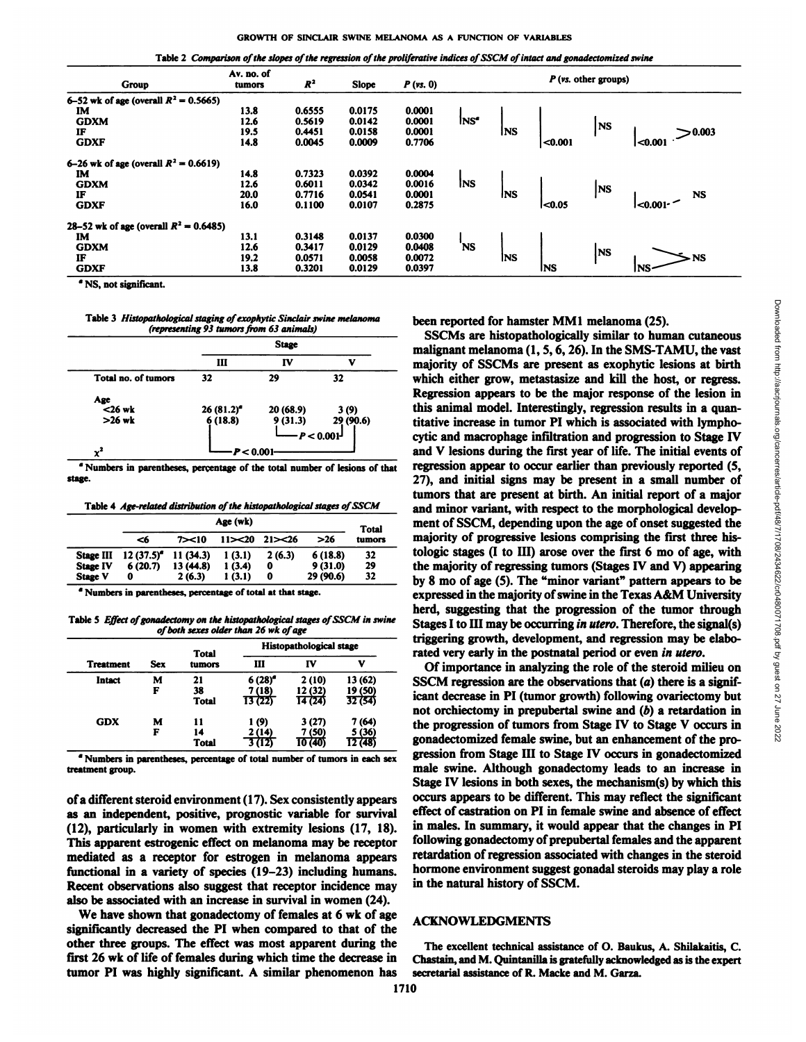Table 2 Comparison of the slopes of the regression of the proliferative indices of SSCM of intact and gonadectomized swine

| Group                                     | Av. no. of<br>tumors | $R^2$  | Slope  | $P$ (vs. 0) |                  |            |                  | $P$ (vs. other groups) |                  |
|-------------------------------------------|----------------------|--------|--------|-------------|------------------|------------|------------------|------------------------|------------------|
| 6–52 wk of age (overall $R^2 = 0.5665$ )  |                      |        |        |             |                  |            |                  |                        |                  |
| IM                                        | 13.8                 | 0.6555 | 0.0175 | 0.0001      |                  |            |                  |                        |                  |
| <b>GDXM</b>                               | 12.6                 | 0.5619 | 0.0142 | 0.0001      | INS <sup>"</sup> |            |                  | <b>INS</b>             |                  |
| IF                                        | 19.5                 | 0.4451 | 0.0158 | 0.0001      |                  | <b>INS</b> |                  |                        | > 0.003          |
| <b>GDXF</b>                               | 14.8                 | 0.0045 | 0.0009 | 0.7706      |                  |            | <sub>0.001</sub> |                        | $0.001$          |
| 6–26 wk of age (overall $R^2 = 0.6619$ )  |                      |        |        |             |                  |            |                  |                        |                  |
| IM                                        | 14.8                 | 0.7323 | 0.0392 | 0.0004      |                  |            |                  |                        |                  |
| <b>GDXM</b>                               | 12.6                 | 0.6011 | 0.0342 | 0.0016      | <b>INS</b>       |            |                  | <b>INS</b>             |                  |
| IF                                        | 20.0                 | 0.7716 | 0.0541 | 0.0001      |                  | <b>INS</b> |                  |                        | <b>NS</b>        |
| <b>GDXF</b>                               | 16.0                 | 0.1100 | 0.0107 | 0.2875      |                  |            | <0.05            |                        | <sub>0.001</sub> |
| 28–52 wk of age (overall $R^2 = 0.6485$ ) |                      |        |        |             |                  |            |                  |                        |                  |
| IM                                        | 13.1                 | 0.3148 | 0.0137 | 0.0300      |                  |            |                  |                        |                  |
| <b>GDXM</b>                               | 12.6                 | 0.3417 | 0.0129 | 0.0408      | 'NS              |            |                  | INS                    |                  |
| IF                                        | 19.2                 | 0.0571 | 0.0058 | 0.0072      |                  | <b>INS</b> |                  |                        | - NS             |
| <b>GDXF</b>                               | 13.8                 | 0.3201 | 0.0129 | 0.0397      |                  |            | <b>INS</b>       |                        | INS-             |
|                                           |                      |        |        |             |                  |            |                  |                        |                  |

" NS, not significant.

Table 3 Histopathological staging of exophytic Sinclair swine melanoma *(representing 93 tumors from 63animals)*

|                     |              | <b>Stage</b> |              |
|---------------------|--------------|--------------|--------------|
|                     | Ш            | IV           |              |
| Total no. of tumors | 32           | 29           | 32           |
|                     |              |              |              |
| Age<br>$<$ 26 wk    | $26(81.2)^e$ | 20 (68.9)    | 3(9)         |
| $>26$ wk            | 6(18.8)      | 9(31.3)      | 29 (90.6)    |
|                     |              |              | $-P < 0.001$ |
|                     | P < 0.001    |              |              |

<sup>&</sup>quot; Numbers in parentheses, percentage of the total number of lesions of that stage.

Table 4 Age-related distribution of the histopathological stages of SSCM

|                  |                                            |           | Age (wk) |         |           | Total  |
|------------------|--------------------------------------------|-----------|----------|---------|-----------|--------|
|                  | -46                                        | 7 > 10    | 11 > 20  | 21 > 26 | >26       | tumors |
| <b>Stage III</b> | $12(37.5)$ <sup><math>\bullet</math></sup> | 11(34.3)  | 1(3.1)   | 2(6.3)  | 6(18.8)   | 32     |
| <b>Stage IV</b>  | 6(20.7)                                    | 13 (44.8) | 1(3.4)   | 0       | 9(31.0)   | 29     |
| <b>Stage V</b>   | 0                                          | 2(6.3)    | 1(3.1)   | o       | 29 (90.6) | 32     |

°Numbers in parentheses, percentage of total at that stage.

Table 5 Effect of gonadectomy on the histopathological stages of SSCM in swine *of both sexes older than 26 wk of age*

| <b>Treatment</b><br>Intact |            | Total        | <b>Histopathological stage</b> |         |         |  |  |
|----------------------------|------------|--------------|--------------------------------|---------|---------|--|--|
|                            | <b>Sex</b> | tumors       | ш                              | IV      | v       |  |  |
|                            | м          | 21           | $6(28)^{d}$                    | 2(10)   | 13(62)  |  |  |
|                            | F          | 38           | 7 (18)                         | 12 (32) | 19 (50) |  |  |
|                            |            | <b>Total</b> | 13(22)                         | 14 (24) | 32(54)  |  |  |
| <b>GDX</b>                 | м          | 11           | 1(9)                           | 3(27)   | 7 (64)  |  |  |
|                            | F          | 14           | 2 (14)                         | 7 (50)  | 5 (36)  |  |  |
|                            |            | <b>Total</b> | . (12) د                       | 10 (40) | 12 (48) |  |  |

" Numbers in parentheses, percentage of total number of tumors in each sex treatment group.

of a different steroid environment (17). Sex consistently appears as an independent, positive, prognostic variable for survival (12), particularly in women with extremity lesions (17, 18). This apparent estrogenic effect on melanoma may be receptor mediated as a receptor for estrogen in melanoma appears functional in a variety of species (19-23) including humans. Recent observations also suggest that receptor incidence may also be associated with an increase in survival in women (24).

We have shown that gonadectomy of females at 6 wk of age significantly decreased the PI when compared to that of the other three groups. The effect was most apparent during the first 26 wk of life of females during which time the decrease in tumor PI was highly significant. A similar phenomenon has been reported for hamster MM1 melanoma (25).

tumors majority of progressive lesions comprising the first three his-29 the majority of regressing tumors (Stages IV and V) appearing  $\frac{1}{2}$ SSCMs are histopathologically similar to human cutaneous malignant melanoma (1, 5,6, 26). In the SMS-TAMU, the vast been reported for hamster MM1 melanoma (25).<br>
SSCMs are histopathologically similar to human cutaneous<br>
malignant melanoma (1, 5, 6, 26). In the SMS-TAMU, the vast<br>
majority of SSCMs are present as exophytic lesions at bi which either grow, metastasize and kill the host, or regress. Regression appears to be the major response of the lesion in this animal model. Interestingly, regression results in a quan titative increase in tumor PI which is associated with lymphocytic and macrophage infiltration and progression to Stage IV and V lesions during the first year of life. The initial events of regression appear to occur earlier than previously reported (5, 27), and initial signs may be present in a small number of tumors that are present at birth. An initial report of a major and minor variant, with respect to the morphological develop ment of SSCM, depending upon the age of onset suggested the tologie stages (I to HI) arose over the first 6 mo of age, with by 8 mo of age (5). The "minor variant" pattern appears to be expressed in the majority of swine in the Texas A&M University herd, suggesting that the progression of the tumor through Stages I to III may be occurring in utero. Therefore, the signal(s) triggering growth, development, and regression may be elabo rated very early in the postnatal period or even in utero.

Of importance in analyzing the role of the steroid milieu on SSCM regression are the observations that  $(a)$  there is a significant decrease in PI(tumor growth) following ovariectomy but not orchiectomy in prepubertal swine and  $(b)$  a retardation in the progression of tumors from Stage IV to Stage V occurs in gonadectomized female swine, but an enhancement of the pro gression from Stage HI to Stage IV occurs in gonadectomized male swine. Although gonadectomy leads to an increase in Stage IV lesions in both sexes, the mechanism(s) by which this occurs appears to be different. This may reflect the significant effect of castration on PI in female swine and absence of effect in males. In summary, it would appear that the changes in PI following gonadectomy of prepubertal females and the apparent retardation of regression associated with changes in the steroid hormone environment suggest gonadal steroids may play a role in the natural history of SSCM.

#### ACKNOWLEDGMENTS

The excellent technical assistance of O. Baukus, A. Shilakaitis, C. Chastain, and M. Quintanilla is gratefully acknowledged as is the expert secretarial assistance of R. Macke and M. Garza.

Downloaded from http://aacrjournals.org/cancerres/article-pdf/48/7/1708/2434622/cr0480071708.pdf by guest on 27 June 2022